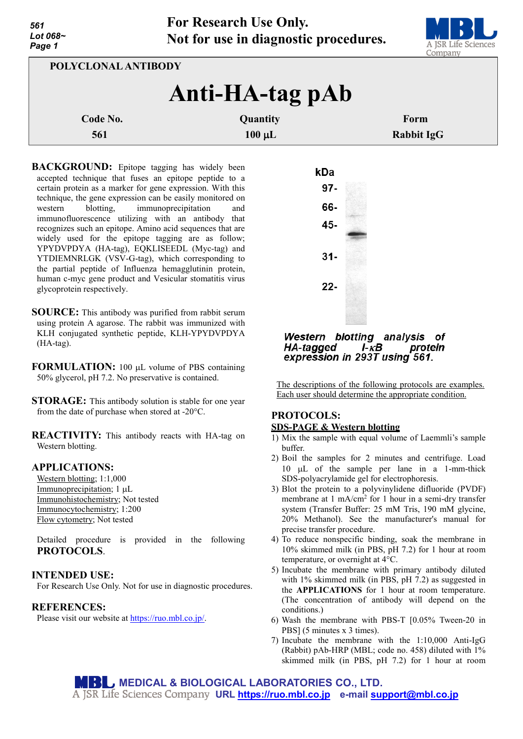

| POLYCLONAL ANTIBODY |                   |  |
|---------------------|-------------------|--|
| Anti-HA-tag pAb     |                   |  |
| Quantity            | Form              |  |
| $100 \mu L$         | <b>Rabbit IgG</b> |  |
|                     |                   |  |

**BACKGROUND:** Epitope tagging has widely been accepted technique that fuses an epitope peptide to a certain protein as a marker for gene expression. With this technique, the gene expression can be easily monitored on western blotting, immunoprecipitation and immunofluorescence utilizing with an antibody that recognizes such an epitope. Amino acid sequences that are widely used for the epitope tagging are as follow; YPYDVPDYA (HA-tag), EQKLISEEDL (Myc-tag) and YTDIEMNRLGK (VSV-G-tag), which corresponding to the partial peptide of Influenza hemagglutinin protein, human c-myc gene product and Vesicular stomatitis virus glycoprotein respectively.

- **SOURCE:** This antibody was purified from rabbit serum using protein A agarose. The rabbit was immunized with KLH conjugated synthetic peptide, KLH-YPYDVPDYA (HA-tag).
- **FORMULATION:** 100 µL volume of PBS containing 50% glycerol, pH 7.2. No preservative is contained.
- **STORAGE:** This antibody solution is stable for one year from the date of purchase when stored at -20°C.

**REACTIVITY:** This antibody reacts with HA-tag on Western blotting.

# **APPLICATIONS:**

Western blotting; 1:1,000 Immunoprecipitation; 1 µL Immunohistochemistry; Not tested Immunocytochemistry; 1:200 Flow cytometry; Not tested

Detailed procedure is provided in the following **PROTOCOLS**.

# **INTENDED USE:**

For Research Use Only. Not for use in diagnostic procedures.

## **REFERENCES:**

Please visit our website at [https://ruo.mbl.co.jp/.](https://ruo.mbl.co.jp/)



#### Western blotting analysis of HA-tagged  $I - \kappa B$ protein expression in 293T using 561.

The descriptions of the following protocols are examples. Each user should determine the appropriate condition.

## **PROTOCOLS: SDS-PAGE & Western blotting**

- 1) Mix the sample with equal volume of Laemmli's sample buffer.
- 2) Boil the samples for 2 minutes and centrifuge. Load 10 µL of the sample per lane in a 1-mm-thick SDS-polyacrylamide gel for electrophoresis.
- 3) Blot the protein to a polyvinylidene difluoride (PVDF) membrane at 1 mA/cm<sup>2</sup> for 1 hour in a semi-dry transfer system (Transfer Buffer: 25 mM Tris, 190 mM glycine, 20% Methanol). See the manufacturer's manual for precise transfer procedure.
- 4) To reduce nonspecific binding, soak the membrane in 10% skimmed milk (in PBS, pH 7.2) for 1 hour at room temperature, or overnight at 4°C.
- 5) Incubate the membrane with primary antibody diluted with 1% skimmed milk (in PBS, pH 7.2) as suggested in the **APPLICATIONS** for 1 hour at room temperature. (The concentration of antibody will depend on the conditions.)
- 6) Wash the membrane with PBS-T [0.05% Tween-20 in PBS] (5 minutes x 3 times).
- 7) Incubate the membrane with the 1:10,000 Anti-IgG (Rabbit) pAb-HRP (MBL; code no. 458) diluted with 1% skimmed milk (in PBS, pH 7.2) for 1 hour at room

**MEDICAL & BIOLOGICAL LABORATORIES CO., LTD. URL [https://ruo.mbl.co.jp](https://ruo.mbl.co.jp/) e-mail [support@mbl.co.jp](mailto:support@mbl.co.jp)**